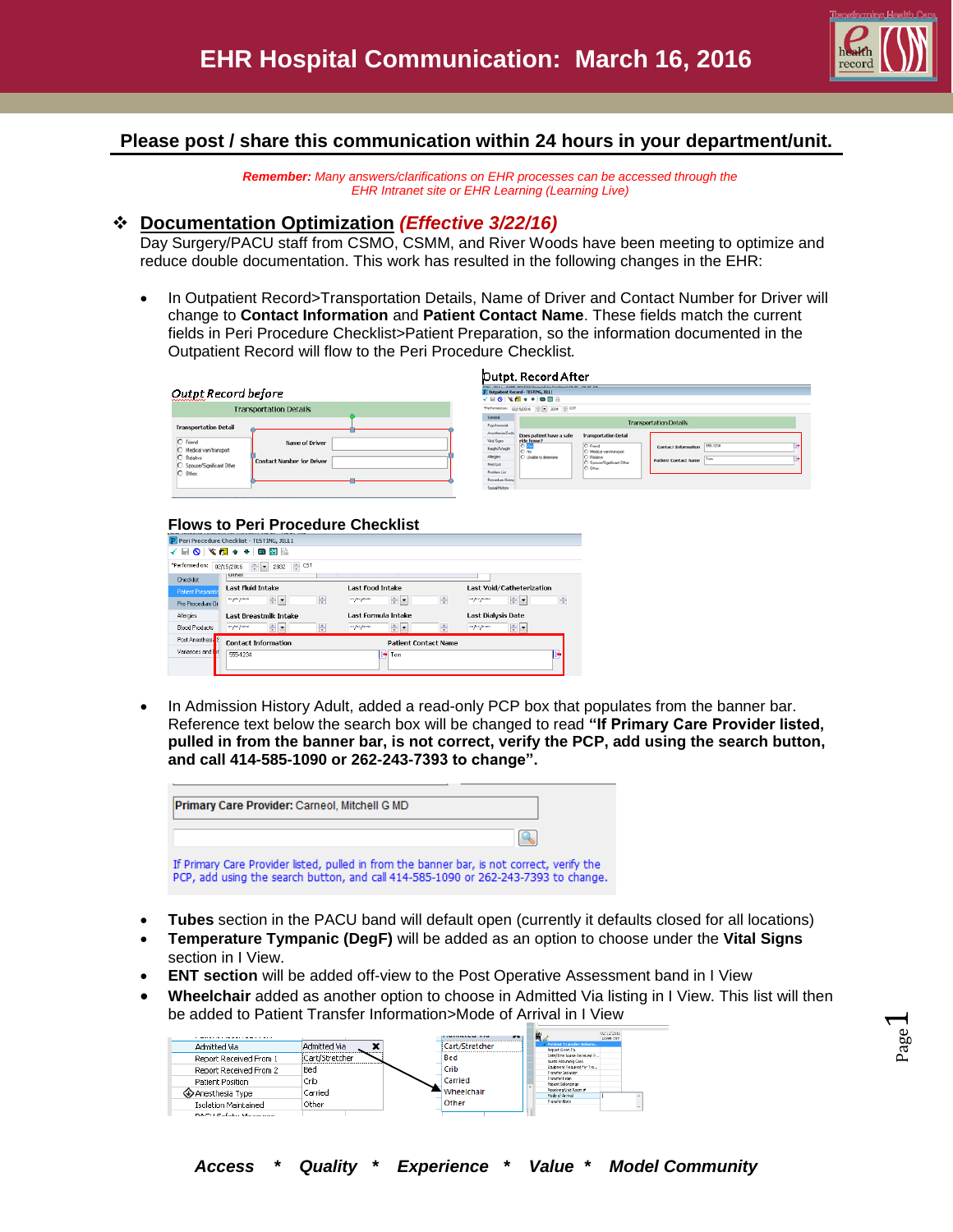

# **Please post / share this communication within 24 hours in your department/unit.**

*Remember: Many answers/clarifications on EHR processes can be accessed through the EHR Intranet site or EHR Learning (Learning Live)*

## **Documentation Optimization** *(Effective 3/22/16)*

Day Surgery/PACU staff from CSMO, CSMM, and River Woods have been meeting to optimize and reduce double documentation. This work has resulted in the following changes in the EHR:

 In Outpatient Record>Transportation Details, Name of Driver and Contact Number for Driver will change to **Contact Information** and **Patient Contact Name**. These fields match the current fields in Peri Procedure Checklist>Patient Preparation, so the information documented in the Outpatient Record will flow to the Peri Procedure Checklist*.*

|                                                                                                                                                  | Dutpt. Record After                                                                                                                                                                                                                                                                                                                                                                                                             |
|--------------------------------------------------------------------------------------------------------------------------------------------------|---------------------------------------------------------------------------------------------------------------------------------------------------------------------------------------------------------------------------------------------------------------------------------------------------------------------------------------------------------------------------------------------------------------------------------|
| Outpt Record before                                                                                                                              | NC 30111 CARA (NUCLEAR Deceased by Technology OK RC, OK RC By<br>P. Outputient Record - TESTING, JILL1<br>4 8 8 4 4 5 7 8 9 1                                                                                                                                                                                                                                                                                                   |
| <b>Transportation Details</b>                                                                                                                    | *Performed on: 02/15/2016 - = 2034 - CST                                                                                                                                                                                                                                                                                                                                                                                        |
| <b>Transportation Detail</b>                                                                                                                     | General<br><b>Transportation Details</b><br>Psychosocial                                                                                                                                                                                                                                                                                                                                                                        |
| O Friend<br>Name of Driver<br>O Medical van/transport<br>C Relative<br><b>Contact Number for Driver</b><br>C Spouse/Significant Other<br>O Other | Anesthesia/Seda<br>Does patient have a safe<br><b>Transportation Detail</b><br>Vital Signs<br>ride home?<br><b>D</b><br>555-1234<br>C Friend<br><b>Contact Information</b><br>Height/weight<br>O No.<br>Medical vary/transport<br>Alergies<br>C Unable to determine<br>Relative<br>Tom<br><b>Patient Contact Name</b><br>C Spouse/Significant Other<br>MedList<br>C Offer<br>Problem List<br>Procedure Histor<br>Social History |

### **Flows to Peri Procedure Checklist**

|                              | P Peri Procedure Checklist - TESTING, JILL1               |                              |                                 |
|------------------------------|-----------------------------------------------------------|------------------------------|---------------------------------|
|                              | √BOI‰®F↑↑ BB                                              |                              |                                 |
| *Performed.on:               | ÷<br><b>CST</b><br>$\div$ $\bullet$<br>02/15/2016<br>2032 |                              |                                 |
| Checklist                    | <b>Uther</b>                                              |                              |                                 |
| <b>Patient Preparatid</b>    | Last Fluid Intake                                         | <b>Last Food Intake</b>      | Last Void/Catheterization       |
| Pre Procedure Or             | ÷ŀ<br>츳<br>на раз расса                                   | ÷×<br>ᆃ<br>sos pos possos    | ÷×<br>÷<br>100 June June 100    |
| Allergies                    | Last Breastmilk Intake                                    | Last Formula Intake          | <b>Last Dialysis Date</b>       |
| <b>Blood Products</b>        | $\div$ -<br>÷<br>ни рак рассии                            | $\div$ -<br>좋<br>ни рисунени | $rac{1}{2}$<br>вос расс расское |
| Post Anesthesia <sup>S</sup> | <b>Contact Information</b>                                | <b>Patient Contact Name</b>  |                                 |
| Variances and Int            | 555-1234                                                  | Tom<br>æ.                    | B.                              |
|                              |                                                           |                              |                                 |
|                              |                                                           |                              |                                 |

• In Admission History Adult, added a read-only PCP box that populates from the banner bar. Reference text below the search box will be changed to read **"If Primary Care Provider listed, pulled in from the banner bar, is not correct, verify the PCP, add using the search button, and call 414-585-1090 or 262-243-7393 to change".**

| Primary Care Provider: Carneol, Mitchell G MD                                                                                                                                    |  |
|----------------------------------------------------------------------------------------------------------------------------------------------------------------------------------|--|
| $\Omega$                                                                                                                                                                         |  |
| If Primary Care Provider listed, pulled in from the banner bar, is not correct, verify the<br>PCP, add using the search button, and call 414-585-1090 or 262-243-7393 to change. |  |

- **Tubes** section in the PACU band will default open (currently it defaults closed for all locations)
- **Temperature Tympanic (DegF)** will be added as an option to choose under the **Vital Signs** section in I View.
- **ENT section** will be added off-view to the Post Operative Assessment band in I View
- **Wheelchair** added as another option to choose in Admitted Via listing in I View. This list will then be added to Patient Transfer Information>Mode of Arrival in I View

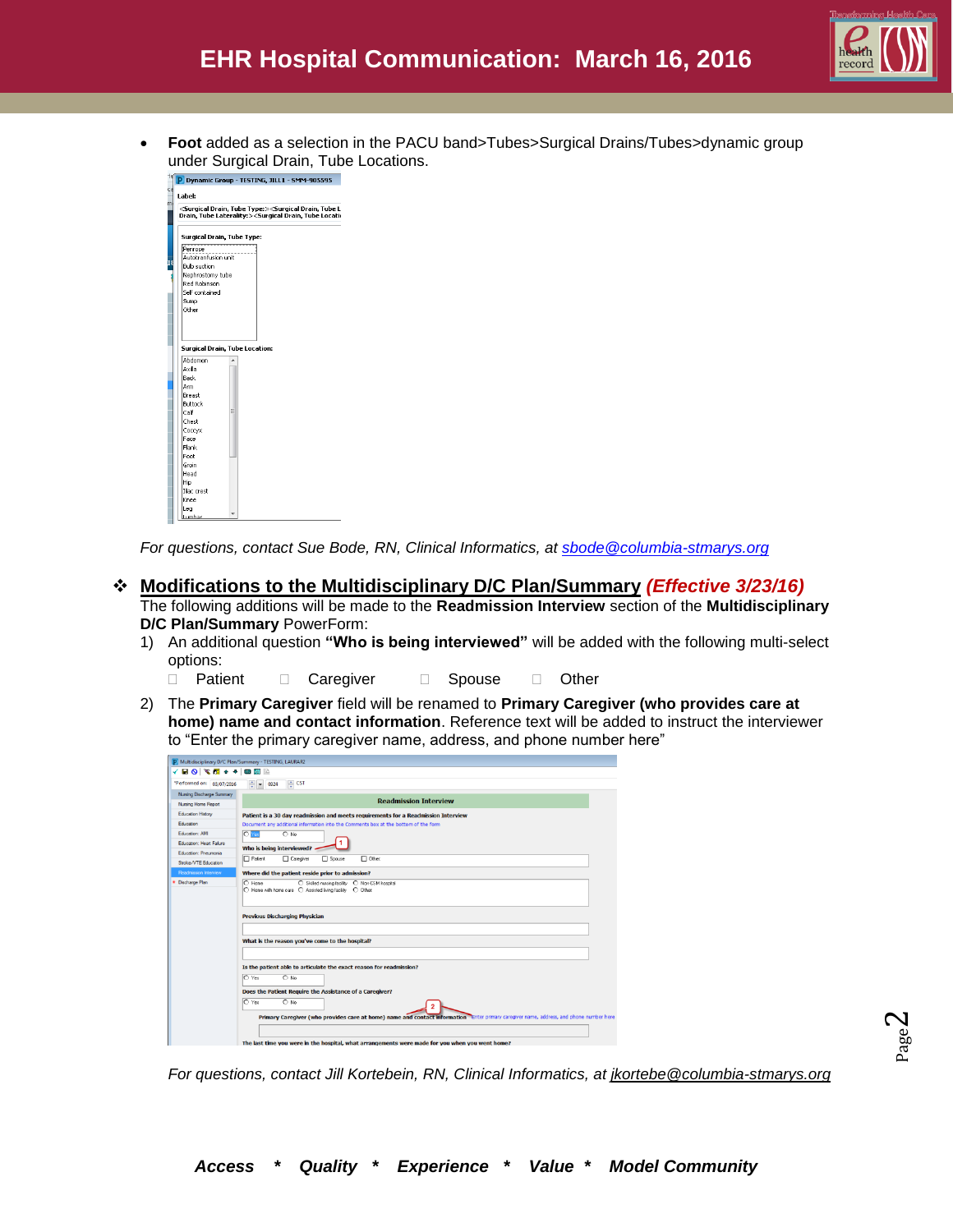

 **Foot** added as a selection in the PACU band>Tubes>Surgical Drains/Tubes>dynamic group under Surgical Drain, Tube Locations.

| Dynamic Group - TESTING, JILL1 - SMM-905595                                                                                                                                                                   |   |  |  |
|---------------------------------------------------------------------------------------------------------------------------------------------------------------------------------------------------------------|---|--|--|
| Label:                                                                                                                                                                                                        |   |  |  |
| <surgical drain,="" tube="" type:=""><surgical drain,="" l<br="" tube="">Drain, Tube Laterality:&gt;<surgical drain,="" locati<="" th="" tube=""><th></th><th></th><th></th></surgical></surgical></surgical> |   |  |  |
|                                                                                                                                                                                                               |   |  |  |
| Surgical Drain, Tube Type:                                                                                                                                                                                    |   |  |  |
| Penrose                                                                                                                                                                                                       |   |  |  |
| Autotranfusion unit                                                                                                                                                                                           |   |  |  |
| <b>Bulb</b> suction                                                                                                                                                                                           |   |  |  |
| Nephrostomy tube                                                                                                                                                                                              |   |  |  |
| Red Robinson                                                                                                                                                                                                  |   |  |  |
| Self contained                                                                                                                                                                                                |   |  |  |
| Sump                                                                                                                                                                                                          |   |  |  |
| Other                                                                                                                                                                                                         |   |  |  |
|                                                                                                                                                                                                               |   |  |  |
|                                                                                                                                                                                                               |   |  |  |
|                                                                                                                                                                                                               |   |  |  |
| Surgical Drain, Tube Location:                                                                                                                                                                                |   |  |  |
| Abdomen                                                                                                                                                                                                       |   |  |  |
| Axilla                                                                                                                                                                                                        |   |  |  |
| Back                                                                                                                                                                                                          |   |  |  |
| Arm                                                                                                                                                                                                           |   |  |  |
| Breast                                                                                                                                                                                                        |   |  |  |
| <b>Buttock</b>                                                                                                                                                                                                |   |  |  |
| Calf                                                                                                                                                                                                          | Ε |  |  |
| Chest                                                                                                                                                                                                         |   |  |  |
| Coccyx                                                                                                                                                                                                        |   |  |  |
| Face                                                                                                                                                                                                          |   |  |  |
| Flank                                                                                                                                                                                                         |   |  |  |
| Foot                                                                                                                                                                                                          |   |  |  |
| Groin                                                                                                                                                                                                         |   |  |  |
| Head                                                                                                                                                                                                          |   |  |  |
| Hip                                                                                                                                                                                                           |   |  |  |
| Iliar crest                                                                                                                                                                                                   |   |  |  |
| Knee                                                                                                                                                                                                          |   |  |  |
| Lea                                                                                                                                                                                                           |   |  |  |
| Lumbar                                                                                                                                                                                                        |   |  |  |

*For questions, contact Sue Bode, RN, Clinical Informatics, at [sbode@columbia-stmarys.org](mailto:sbode@columbia-stmarys.org)*

# **Modifications to the Multidisciplinary D/C Plan/Summary** *(Effective 3/23/16)*

The following additions will be made to the **Readmission Interview** section of the **Multidisciplinary D/C Plan/Summary** PowerForm:

- 1) An additional question **"Who is being interviewed"** will be added with the following multi-select options:
	- Patient Caregiver Spouse Other
- 2) The **Primary Caregiver** field will be renamed to **Primary Caregiver (who provides care at home) name and contact information**. Reference text will be added to instruct the interviewer to "Enter the primary caregiver name, address, and phone number here"

|                           | √BO Ѷ▓₩◆●■■                                                                                                                             |
|---------------------------|-----------------------------------------------------------------------------------------------------------------------------------------|
| *Performed on: 03/07/2016 | $\frac{1}{2}$ = 0924 $\frac{1}{2}$ CST                                                                                                  |
| Nursing Discharge Summary |                                                                                                                                         |
| Nursing Home Report       | <b>Readmission Interview</b>                                                                                                            |
| Education History         | Patient is a 30 day readmission and meets requirements for a Readmission Interview                                                      |
| Education                 | Document any additional information into the Comments box at the bottom of the form                                                     |
| Education: AMI            | <b>O</b> Yes<br>$O$ No                                                                                                                  |
| Education: Heart Failure  | Who is being interviewed?                                                                                                               |
| Education: Pneumonia      | $\Box$ Patient<br><b>ITI</b> Caregiver<br><b>FI</b> Spouse<br>$\Box$ Other                                                              |
| Stroke/VTE Education      |                                                                                                                                         |
| Readmission Interview     | Where did the patient reside prior to admission?                                                                                        |
|                           | ◯ Home with home care ◯ Assisted living facility ◯ Other:<br><b>Previous Discharging Physician</b>                                      |
|                           | What is the reason you've come to the hospital?                                                                                         |
|                           | Is the patient able to articulate the exact reason for readmission?<br>O Yes<br>$\bigcap$ No                                            |
|                           | Does the Patient Require the Assistance of a Caregiver?                                                                                 |
|                           | O Yes<br>$O$ No.<br>$\overline{2}$                                                                                                      |
|                           | Primary Caregiver (who provides care at home) name and contact information Enter primary caregiver name, address, and phone number here |

*For questions, contact Jill Kortebein, RN, Clinical Informatics, at [jkortebe@columbia-stmarys.org](mailto:jkortebe@columbia-stmarys.org)*

Page  $\boldsymbol{\sim}$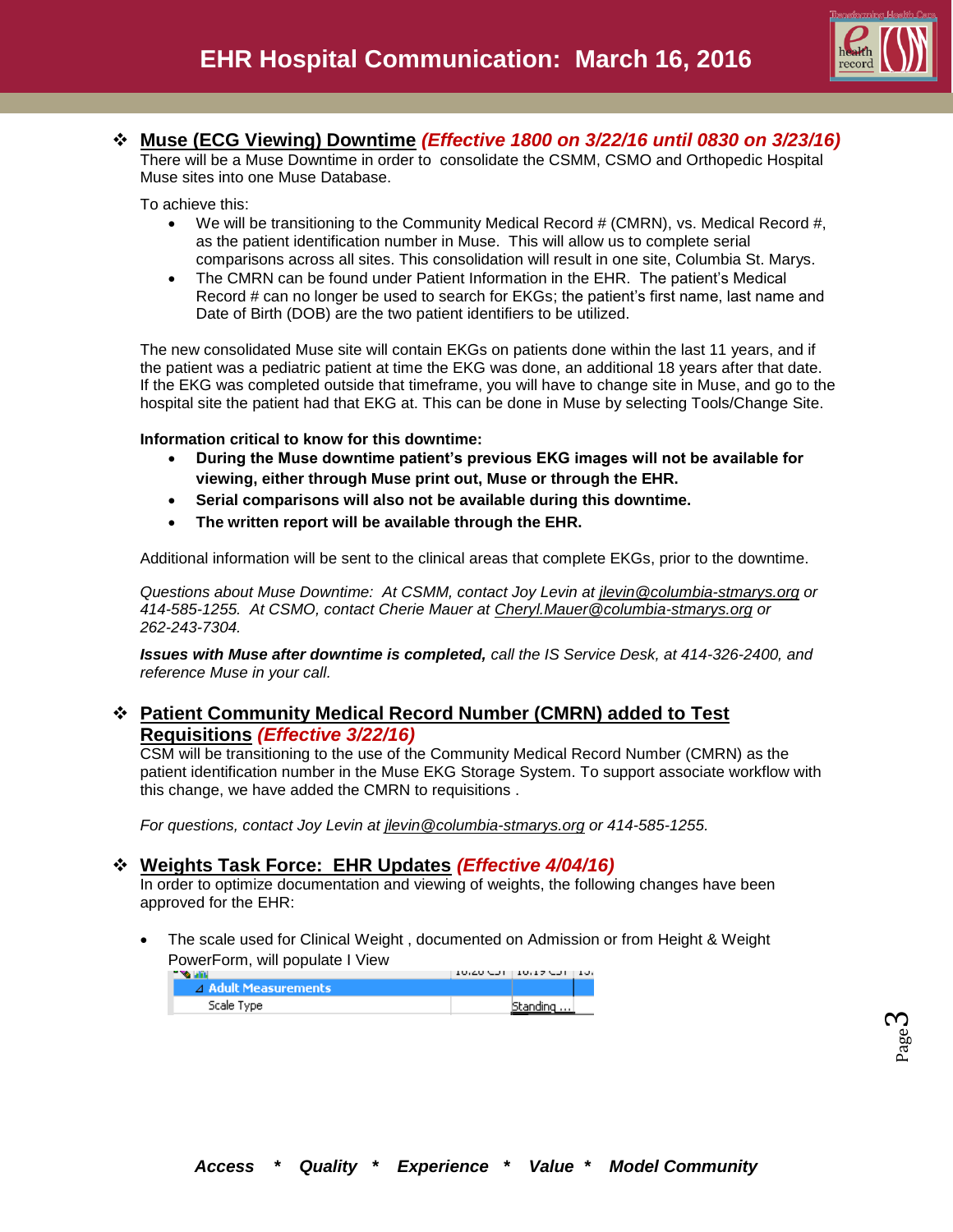

# **Muse (ECG Viewing) Downtime** *(Effective 1800 on 3/22/16 until 0830 on 3/23/16)*

There will be a Muse Downtime in order to consolidate the CSMM, CSMO and Orthopedic Hospital Muse sites into one Muse Database.

To achieve this:

- We will be transitioning to the Community Medical Record  $#$  (CMRN), vs. Medical Record  $#$ , as the patient identification number in Muse. This will allow us to complete serial comparisons across all sites. This consolidation will result in one site, Columbia St. Marys.
- The CMRN can be found under Patient Information in the EHR. The patient's Medical Record # can no longer be used to search for EKGs; the patient's first name, last name and Date of Birth (DOB) are the two patient identifiers to be utilized.

The new consolidated Muse site will contain EKGs on patients done within the last 11 years, and if the patient was a pediatric patient at time the EKG was done, an additional 18 years after that date. If the EKG was completed outside that timeframe, you will have to change site in Muse, and go to the hospital site the patient had that EKG at. This can be done in Muse by selecting Tools/Change Site.

#### **Information critical to know for this downtime:**

- **During the Muse downtime patient's previous EKG images will not be available for viewing, either through Muse print out, Muse or through the EHR.**
- **Serial comparisons will also not be available during this downtime.**
- **The written report will be available through the EHR.**

Additional information will be sent to the clinical areas that complete EKGs, prior to the downtime.

*Questions about Muse Downtime: At CSMM, contact Joy Levin at [jlevin@columbia-stmarys.org](mailto:jlevin@columbia-stmarys.org) or 414-585-1255. At CSMO, contact Cherie Mauer at [Cheryl.Mauer@columbia-stmarys.org](mailto:Cheryl.Mauer@columbia-stmarys.org) or 262-243-7304.* 

*Issues with Muse after downtime is completed, call the IS Service Desk, at 414-326-2400, and reference Muse in your call.* 

## **Patient Community Medical Record Number (CMRN) added to Test Requisitions** *(Effective 3/22/16)*

CSM will be transitioning to the use of the Community Medical Record Number (CMRN) as the patient identification number in the Muse EKG Storage System. To support associate workflow with this change, we have added the CMRN to requisitions .

*For questions, contact Joy Levin at [jlevin@columbia-stmarys.org](mailto:jlevin@columbia-stmarys.org) or 414-585-1255.*

## **Weights Task Force: EHR Updates** *(Effective 4/04/16)*

In order to optimize documentation and viewing of weights, the following changes have been approved for the EHR:

 The scale used for Clinical Weight , documented on Admission or from Height & Weight PowerForm, will populate I View

|                      | $10.20$ CDT 110.17 CDT 110. |  |
|----------------------|-----------------------------|--|
| A Adult Measurements |                             |  |
| Scale Type           | Standing                    |  |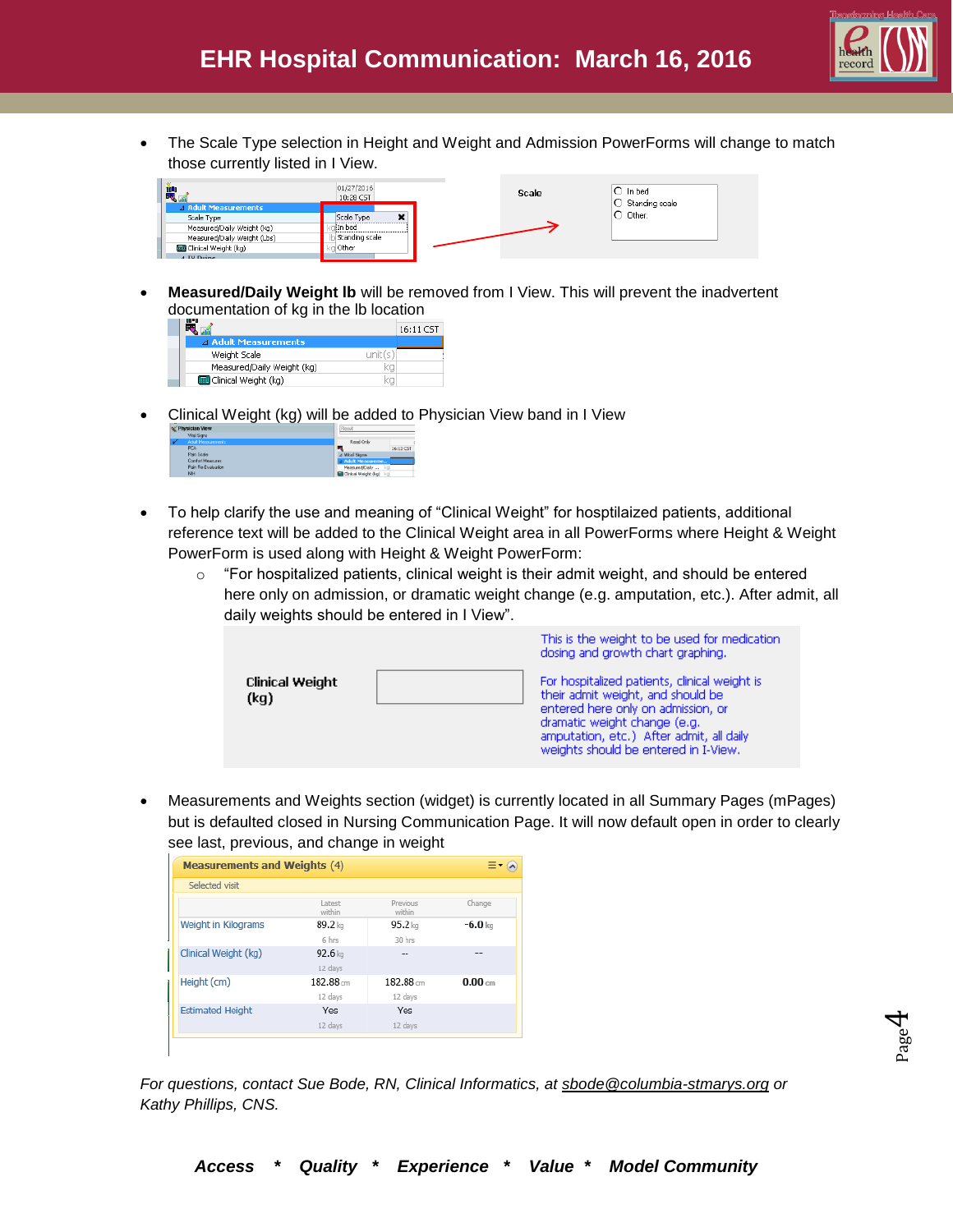

Page  $\overline{\mathcal{A}}$ 

 The Scale Type selection in Height and Weight and Admission PowerForms will change to match those currently listed in I View.



 **Measured/Daily Weight lb** will be removed from I View. This will prevent the inadvertent documentation of kg in the lb location

| ww                          |         | 16:11 CST |
|-----------------------------|---------|-----------|
| <b>4 Adult Measurements</b> |         |           |
| Weight Scale                | unit(s) |           |
| Measured/Daily Weight (kg)  |         |           |
| Clinical Weight (kg)        |         |           |
|                             |         |           |

Clinical Weight (kg) will be added to Physician View band in I View

| <b>A LIMORAGH AREA</b> |                                          | <b>IT FOUND</b>                |  |  |  |
|------------------------|------------------------------------------|--------------------------------|--|--|--|
|                        | <b>Vital Signs</b><br>Adult Measurements | Read Only                      |  |  |  |
|                        | <b>PCA</b>                               | æ<br>16:13 CST                 |  |  |  |
|                        | Pain Scale                               | 4 Vital Signs                  |  |  |  |
| Comfort Measures       |                                          | a Adult Measureme              |  |  |  |
|                        | Pain Re-Evaluation                       | Measured/Daly                  |  |  |  |
|                        | NIH                                      | <b>Contract Weight (kg)</b> kg |  |  |  |

- To help clarify the use and meaning of "Clinical Weight" for hosptilaized patients, additional reference text will be added to the Clinical Weight area in all PowerForms where Height & Weight PowerForm is used along with Height & Weight PowerForm:
	- $\circ$  "For hospitalized patients, clinical weight is their admit weight, and should be entered here only on admission, or dramatic weight change (e.g. amputation, etc.). After admit, all daily weights should be entered in I View".

|                         | This is the weight to be used for medication<br>dosing and growth chart graphing.                                                                                                                                                            |
|-------------------------|----------------------------------------------------------------------------------------------------------------------------------------------------------------------------------------------------------------------------------------------|
| Clinical Weight<br>(kg) | For hospitalized patients, clinical weight is<br>their admit weight, and should be<br>entered here only on admission, or<br>dramatic weight change (e.g.<br>amputation, etc.) After admit, all daily<br>weights should be entered in I-View. |

 Measurements and Weights section (widget) is currently located in all Summary Pages (mPages) but is defaulted closed in Nursing Communication Page. It will now default open in order to clearly see last, previous, and change in weight

| <b>Measurements and Weights (4)</b> |                     |                    |           |
|-------------------------------------|---------------------|--------------------|-----------|
| Selected visit                      |                     |                    |           |
|                                     | Latest<br>within    | Previous<br>within | Change    |
| Weight in Kilograms                 | 89.2 kg             | $95.2$ kg          | $-6.0$ kg |
|                                     | 6 hrs               | 30 hrs             |           |
| Clinical Weight (kg)                | $92.6\,\mathrm{km}$ |                    |           |
|                                     | 12 days             |                    |           |
| Height (cm)                         | $182.88$ cm         | $182.88 -$         | 0.00cm    |
|                                     | 12 days             | 12 days            |           |
| <b>Estimated Height</b>             | Yes                 | Yes                |           |
|                                     | 12 days             | 12 days            |           |

*For questions, contact Sue Bode, RN, Clinical Informatics, at [sbode@columbia-stmarys.org](mailto:sbode@columbia-stmarys.org) or Kathy Phillips, CNS.*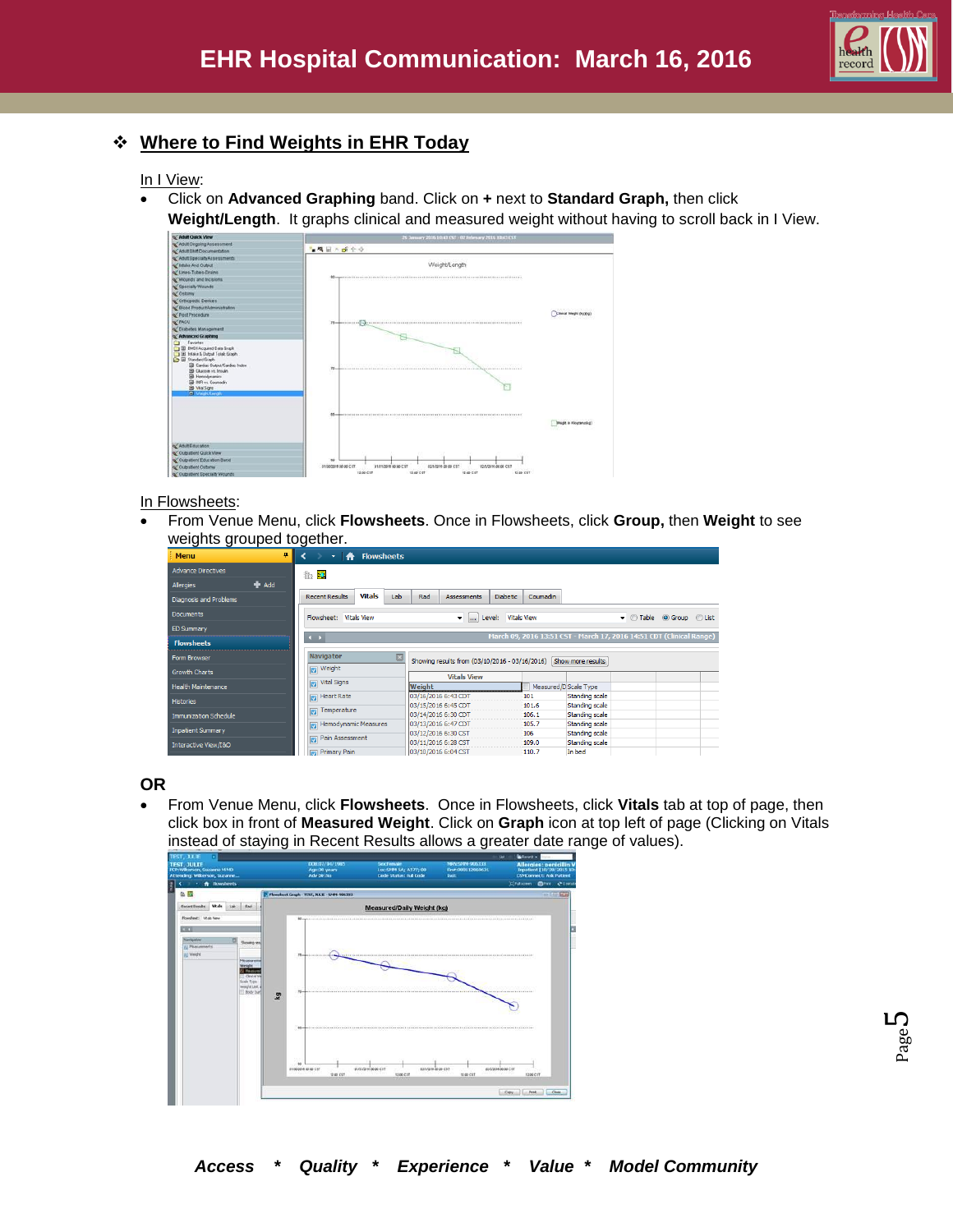

# **Where to Find Weights in EHR Today**

In I View:

- Click on **Advanced Graphing** band. Click on **+** next to **Standard Graph,** then click
	- **Weight/Length**. It graphs clinical and measured weight without having to scroll back in I View.



#### In Flowsheets:

 From Venue Menu, click **Flowsheets**. Once in Flowsheets, click **Group,** then **Weight** to see weights grouped together.

| wolghto grouped together.     |                                                 |                                                                  |                             |                                                                      |                        |  |
|-------------------------------|-------------------------------------------------|------------------------------------------------------------------|-----------------------------|----------------------------------------------------------------------|------------------------|--|
| 4<br><b>Menu</b>              | <b>Flowsheets</b><br>Ħ<br>$\bullet$             |                                                                  |                             |                                                                      |                        |  |
| <b>Advance Directives</b>     | <b>B</b>                                        |                                                                  |                             |                                                                      |                        |  |
| $#$ Add<br>Allergies          |                                                 |                                                                  |                             |                                                                      |                        |  |
| <b>Diagnosis and Problems</b> | <b>Vitals</b><br>Lab<br><b>Recent Results</b>   | Rad<br><b>Assessments</b>                                        | <b>Diabetic</b><br>Coumadin |                                                                      |                        |  |
| <b>Documents</b>              | Flowsheet:<br><b>Vitals View</b>                | ÷<br><b>Sec.</b>                                                 | Level: Vitals View          |                                                                      | v Table O Group C List |  |
| <b>ED Summary</b>             |                                                 |                                                                  |                             |                                                                      |                        |  |
| <b>Flowsheets</b>             | $\left  \cdot \right $                          |                                                                  |                             | March 09, 2016 13:51 CST - March 17, 2016 14:51 CDT (Clinical Range) |                        |  |
| <b>Form Browser</b>           | Navigator                                       | Showing results from (03/10/2016 - 03/16/2016) Show more results |                             |                                                                      |                        |  |
| <b>Growth Charts</b>          | Veight                                          | <b>Vitals View</b>                                               |                             |                                                                      |                        |  |
| <b>Health Maintenance</b>     | Vital Signs                                     | Weight                                                           |                             | Measured/D Scale Type                                                |                        |  |
| <b>Histories</b>              | Heart Rate                                      | 03/16/2016 6:43 CDT                                              | 101                         | Standing scale                                                       |                        |  |
| Immunization Schedule         | Temperature<br>$\blacksquare$                   | 03/15/2016 6:45 CDT<br>03/14/2016 6:30 CDT                       | 101.6<br>106.1              | <b>Standing scale</b><br><b>Standing scale</b>                       |                        |  |
|                               | Hemodynamic Measures<br>$\overline{\mathbf{v}}$ | 03/13/2016 6:47 CDT                                              | 105.7                       | Standing scale                                                       |                        |  |
| <b>Inpatient Summary</b>      |                                                 | 03/12/2016 6:30 CST                                              | 106                         | <b>Standing scale</b>                                                |                        |  |
| Interactive View/I&O          | Pain Assessment<br>$\overline{\mathbf{v}}$      | 03/11/2016 6:28 CST                                              | 109.0                       | <b>Standing scale</b>                                                |                        |  |
|                               | Primary Pain<br>$\Box$                          | 03/10/2016 6:04 CST                                              | 110.7                       | In bed                                                               |                        |  |

**OR**

 From Venue Menu, click **Flowsheets**. Once in Flowsheets, click **Vitals** tab at top of page, then click box in front of **Measured Weight**. Click on **Graph** icon at top left of page (Clicking on Vitals instead of staying in Recent Results allows a greater date range of values).